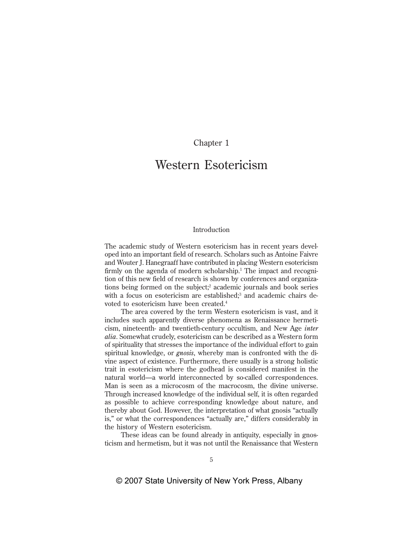## Chapter 1

# Western Esotericism

## Introduction

The academic study of Western esotericism has in recent years developed into an important field of research. Scholars such as Antoine Faivre and Wouter J. Hanegraaff have contributed in placing Western esotericism firmly on the agenda of modern scholarship.1 The impact and recognition of this new field of research is shown by conferences and organizations being formed on the subject;<sup>2</sup> academic journals and book series with a focus on esotericism are established;<sup>3</sup> and academic chairs devoted to esotericism have been created.4

The area covered by the term Western esotericism is vast, and it includes such apparently diverse phenomena as Renaissance hermeticism, nineteenth- and twentieth-century occultism, and New Age *inter alia*. Somewhat crudely, esotericism can be described as a Western form of spirituality that stresses the importance of the individual effort to gain spiritual knowledge, or *gnosis*, whereby man is confronted with the divine aspect of existence. Furthermore, there usually is a strong holistic trait in esotericism where the godhead is considered manifest in the natural world—a world interconnected by so-called correspondences. Man is seen as a microcosm of the macrocosm, the divine universe. Through increased knowledge of the individual self, it is often regarded as possible to achieve corresponding knowledge about nature, and thereby about God. However, the interpretation of what gnosis "actually is," or what the correspondences "actually are," differs considerably in the history of Western esotericism.

These ideas can be found already in antiquity, especially in gnosticism and hermetism, but it was not until the Renaissance that Western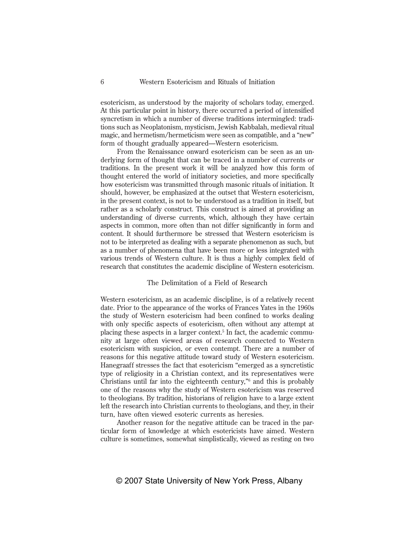esotericism, as understood by the majority of scholars today, emerged. At this particular point in history, there occurred a period of intensified syncretism in which a number of diverse traditions intermingled: traditions such as Neoplatonism, mysticism, Jewish Kabbalah, medieval ritual magic, and hermetism/hermeticism were seen as compatible, and a "new" form of thought gradually appeared—Western esotericism.

From the Renaissance onward esotericism can be seen as an underlying form of thought that can be traced in a number of currents or traditions. In the present work it will be analyzed how this form of thought entered the world of initiatory societies, and more specifically how esotericism was transmitted through masonic rituals of initiation. It should, however, be emphasized at the outset that Western esotericism, in the present context, is not to be understood as a tradition in itself, but rather as a scholarly construct. This construct is aimed at providing an understanding of diverse currents, which, although they have certain aspects in common, more often than not differ significantly in form and content. It should furthermore be stressed that Western esotericism is not to be interpreted as dealing with a separate phenomenon as such, but as a number of phenomena that have been more or less integrated with various trends of Western culture. It is thus a highly complex field of research that constitutes the academic discipline of Western esotericism.

#### The Delimitation of a Field of Research

Western esotericism, as an academic discipline, is of a relatively recent date. Prior to the appearance of the works of Frances Yates in the 1960s the study of Western esotericism had been confined to works dealing with only specific aspects of esotericism, often without any attempt at placing these aspects in a larger context.<sup>5</sup> In fact, the academic community at large often viewed areas of research connected to Western esotericism with suspicion, or even contempt. There are a number of reasons for this negative attitude toward study of Western esotericism. Hanegraaff stresses the fact that esotericism "emerged as a syncretistic type of religiosity in a Christian context, and its representatives were Christians until far into the eighteenth century,"6 and this is probably one of the reasons why the study of Western esotericism was reserved to theologians. By tradition, historians of religion have to a large extent left the research into Christian currents to theologians, and they, in their turn, have often viewed esoteric currents as heresies.

Another reason for the negative attitude can be traced in the particular form of knowledge at which esotericists have aimed. Western culture is sometimes, somewhat simplistically, viewed as resting on two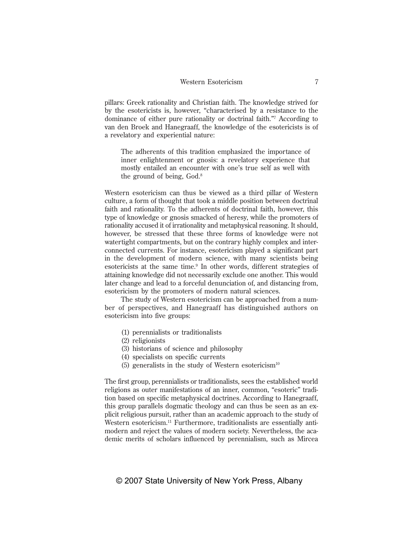pillars: Greek rationality and Christian faith. The knowledge strived for by the esotericists is, however, "characterised by a resistance to the dominance of either pure rationality or doctrinal faith."7 According to van den Broek and Hanegraaff, the knowledge of the esotericists is of a revelatory and experiential nature:

The adherents of this tradition emphasized the importance of inner enlightenment or gnosis: a revelatory experience that mostly entailed an encounter with one's true self as well with the ground of being, God.<sup>8</sup>

Western esotericism can thus be viewed as a third pillar of Western culture, a form of thought that took a middle position between doctrinal faith and rationality. To the adherents of doctrinal faith, however, this type of knowledge or gnosis smacked of heresy, while the promoters of rationality accused it of irrationality and metaphysical reasoning. It should, however, be stressed that these three forms of knowledge were not watertight compartments, but on the contrary highly complex and interconnected currents. For instance, esotericism played a significant part in the development of modern science, with many scientists being esotericists at the same time.<sup>9</sup> In other words, different strategies of attaining knowledge did not necessarily exclude one another. This would later change and lead to a forceful denunciation of, and distancing from, esotericism by the promoters of modern natural sciences.

The study of Western esotericism can be approached from a number of perspectives, and Hanegraaff has distinguished authors on esotericism into five groups:

- (1) perennialists or traditionalists
- (2) religionists
- (3) historians of science and philosophy
- (4) specialists on specific currents
- (5) generalists in the study of Western esotericism<sup>10</sup>

The first group, perennialists or traditionalists, sees the established world religions as outer manifestations of an inner, common, "esoteric" tradition based on specific metaphysical doctrines. According to Hanegraaff, this group parallels dogmatic theology and can thus be seen as an explicit religious pursuit, rather than an academic approach to the study of Western esotericism.<sup>11</sup> Furthermore, traditionalists are essentially antimodern and reject the values of modern society. Nevertheless, the academic merits of scholars influenced by perennialism, such as Mircea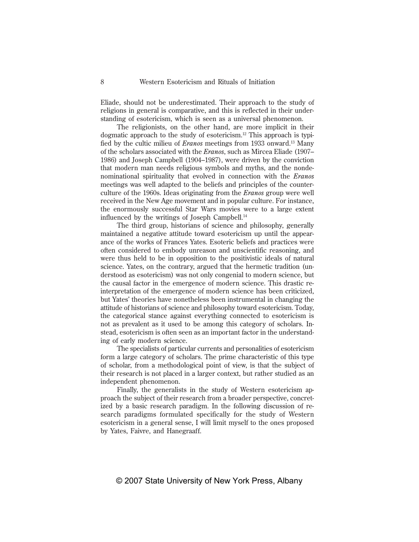Eliade, should not be underestimated. Their approach to the study of religions in general is comparative, and this is reflected in their understanding of esotericism, which is seen as a universal phenomenon.

The religionists, on the other hand, are more implicit in their dogmatic approach to the study of esotericism.12 This approach is typified by the cultic milieu of *Eranos* meetings from 1933 onward.13 Many of the scholars associated with the *Eranos*, such as Mircea Eliade (1907– 1986) and Joseph Campbell (1904–1987), were driven by the conviction that modern man needs religious symbols and myths, and the nondenominational spirituality that evolved in connection with the *Eranos* meetings was well adapted to the beliefs and principles of the counterculture of the 1960s. Ideas originating from the *Eranos* group were well received in the New Age movement and in popular culture. For instance, the enormously successful Star Wars movies were to a large extent influenced by the writings of Joseph Campbell.14

The third group, historians of science and philosophy, generally maintained a negative attitude toward esotericism up until the appearance of the works of Frances Yates. Esoteric beliefs and practices were often considered to embody unreason and unscientific reasoning, and were thus held to be in opposition to the positivistic ideals of natural science. Yates, on the contrary, argued that the hermetic tradition (understood as esotericism) was not only congenial to modern science, but the causal factor in the emergence of modern science. This drastic reinterpretation of the emergence of modern science has been criticized, but Yates' theories have nonetheless been instrumental in changing the attitude of historians of science and philosophy toward esotericism. Today, the categorical stance against everything connected to esotericism is not as prevalent as it used to be among this category of scholars. Instead, esotericism is often seen as an important factor in the understanding of early modern science.

The specialists of particular currents and personalities of esotericism form a large category of scholars. The prime characteristic of this type of scholar, from a methodological point of view, is that the subject of their research is not placed in a larger context, but rather studied as an independent phenomenon.

Finally, the generalists in the study of Western esotericism approach the subject of their research from a broader perspective, concretized by a basic research paradigm. In the following discussion of research paradigms formulated specifically for the study of Western esotericism in a general sense, I will limit myself to the ones proposed by Yates, Faivre, and Hanegraaff.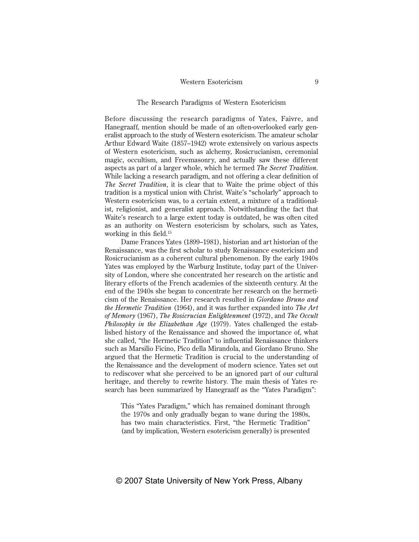#### Western Esotericism 9

#### The Research Paradigms of Western Esotericism

Before discussing the research paradigms of Yates, Faivre, and Hanegraaff, mention should be made of an often-overlooked early generalist approach to the study of Western esotericism. The amateur scholar Arthur Edward Waite (1857–1942) wrote extensively on various aspects of Western esotericism, such as alchemy, Rosicrucianism, ceremonial magic, occultism, and Freemasonry, and actually saw these different aspects as part of a larger whole, which he termed *The Secret Tradition*. While lacking a research paradigm, and not offering a clear definition of *The Secret Tradition*, it is clear that to Waite the prime object of this tradition is a mystical union with Christ. Waite's "scholarly" approach to Western esotericism was, to a certain extent, a mixture of a traditionalist, religionist, and generalist approach. Notwithstanding the fact that Waite's research to a large extent today is outdated, he was often cited as an authority on Western esotericism by scholars, such as Yates, working in this field.15

Dame Frances Yates (1899–1981), historian and art historian of the Renaissance, was the first scholar to study Renaissance esotericism and Rosicrucianism as a coherent cultural phenomenon. By the early 1940s Yates was employed by the Warburg Institute, today part of the University of London, where she concentrated her research on the artistic and literary efforts of the French academies of the sixteenth century. At the end of the 1940s she began to concentrate her research on the hermeticism of the Renaissance. Her research resulted in *Giordano Bruno and the Hermetic Tradition* (1964), and it was further expanded into *The Art of Memory* (1967), *The Rosicrucian Enlightenment* (1972), and *The Occult Philosophy in the Elizabethan Age* (1979). Yates challenged the established history of the Renaissance and showed the importance of, what she called, "the Hermetic Tradition" to influential Renaissance thinkers such as Marsilio Ficino, Pico della Mirandola, and Giordano Bruno. She argued that the Hermetic Tradition is crucial to the understanding of the Renaissance and the development of modern science. Yates set out to rediscover what she perceived to be an ignored part of our cultural heritage, and thereby to rewrite history. The main thesis of Yates research has been summarized by Hanegraaff as the "Yates Paradigm":

This "Yates Paradigm," which has remained dominant through the 1970s and only gradually began to wane during the 1980s, has two main characteristics. First, "the Hermetic Tradition" (and by implication, Western esotericism generally) is presented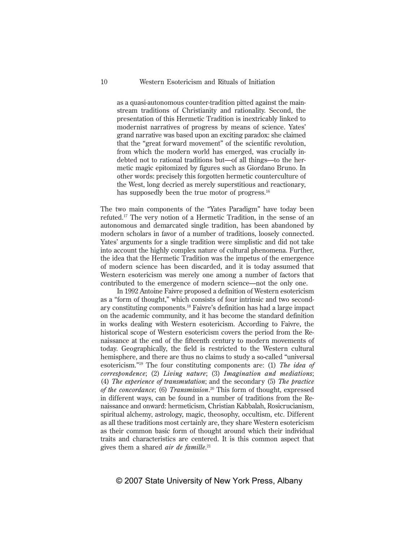as a quasi-autonomous counter-tradition pitted against the mainstream traditions of Christianity and rationality. Second, the presentation of this Hermetic Tradition is inextricably linked to modernist narratives of progress by means of science. Yates' grand narrative was based upon an exciting paradox: she claimed that the "great forward movement" of the scientific revolution, from which the modern world has emerged, was crucially indebted not to rational traditions but—of all things—to the hermetic magic epitomized by figures such as Giordano Bruno. In other words: precisely this forgotten hermetic counterculture of the West, long decried as merely superstitious and reactionary, has supposedly been the true motor of progress.<sup>16</sup>

The two main components of the "Yates Paradigm" have today been refuted.17 The very notion of a Hermetic Tradition, in the sense of an autonomous and demarcated single tradition, has been abandoned by modern scholars in favor of a number of traditions, loosely connected. Yates' arguments for a single tradition were simplistic and did not take into account the highly complex nature of cultural phenomena. Further, the idea that the Hermetic Tradition was the impetus of the emergence of modern science has been discarded, and it is today assumed that Western esotericism was merely one among a number of factors that contributed to the emergence of modern science—not the only one.

In 1992 Antoine Faivre proposed a definition of Western esotericism as a "form of thought," which consists of four intrinsic and two secondary constituting components.18 Faivre's definition has had a large impact on the academic community, and it has become the standard definition in works dealing with Western esotericism. According to Faivre, the historical scope of Western esotericism covers the period from the Renaissance at the end of the fifteenth century to modern movements of today. Geographically, the field is restricted to the Western cultural hemisphere, and there are thus no claims to study a so-called "universal esotericism."19 The four constituting components are: (1) *The idea of correspondence*; (2) *Living nature*; (3) *Imagination and mediations*; (4) *The experience of transmutation*; and the secondary (5) *The practice of the concordance*; (6) *Transmission*. 20 This form of thought, expressed in different ways, can be found in a number of traditions from the Renaissance and onward: hermeticism, Christian Kabbalah, Rosicrucianism, spiritual alchemy, astrology, magic, theosophy, occultism, etc. Different as all these traditions most certainly are, they share Western esotericism as their common basic form of thought around which their individual traits and characteristics are centered. It is this common aspect that gives them a shared *air de famille*. 21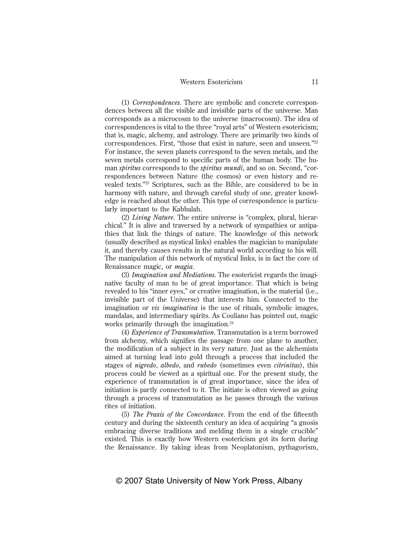(1) *Correspondences*. There are symbolic and concrete correspondences between all the visible and invisible parts of the universe. Man corresponds as a microcosm to the universe (macrocosm). The idea of correspondences is vital to the three "royal arts" of Western esotericism; that is, magic, alchemy, and astrology. There are primarily two kinds of correspondences. First, "those that exist in nature, seen and unseen."22 For instance, the seven planets correspond to the seven metals, and the seven metals correspond to specific parts of the human body. The human *spiritus* corresponds to the *spiritus mundi*, and so on. Second, "correspondences between Nature (the cosmos) or even history and revealed texts."23 Scriptures, such as the Bible, are considered to be in harmony with nature, and through careful study of one, greater knowledge is reached about the other. This type of correspondence is particularly important to the Kabbalah.

(2) *Living Nature*. The entire universe is "complex, plural, hierarchical." It is alive and traversed by a network of sympathies or antipathies that link the things of nature. The knowledge of this network (usually described as mystical links) enables the magician to manipulate it, and thereby causes results in the natural world according to his will. The manipulation of this network of mystical links, is in fact the core of Renaissance magic, or *magia*.

(3) *Imagination and Mediations*. The esotericist regards the imaginative faculty of man to be of great importance. That which is being revealed to his "inner eyes," or creative imagination, is the material (i.e., invisible part of the Universe) that interests him. Connected to the imagination or *vis imaginativa* is the use of rituals, symbolic images, mandalas, and intermediary spirits. As Couliano has pointed out, magic works primarily through the imagination.<sup>24</sup>

(4) *Experience of Transmutation*. Transmutation is a term borrowed from alchemy, which signifies the passage from one plane to another, the modification of a subject in its very nature. Just as the alchemists aimed at turning lead into gold through a process that included the stages of *nigredo*, *albedo*, and *rubedo* (sometimes even *citrinitas*), this process could be viewed as a spiritual one. For the present study, the experience of transmutation is of great importance, since the idea of initiation is partly connected to it. The initiate is often viewed as going through a process of transmutation as he passes through the various rites of initiation.

(5) *The Praxis of the Concordance*. From the end of the fifteenth century and during the sixteenth century an idea of acquiring "a gnosis embracing diverse traditions and melding them in a single crucible" existed. This is exactly how Western esotericism got its form during the Renaissance. By taking ideas from Neoplatonism, pythagorism,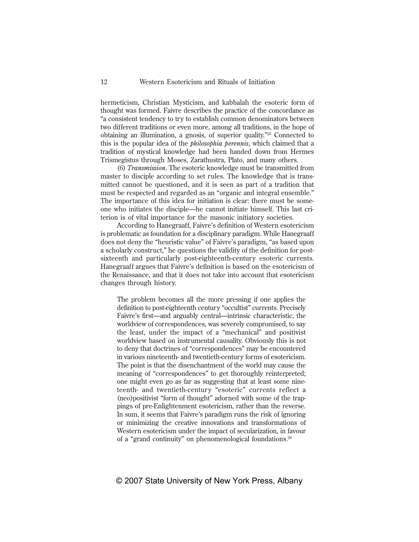hermeticism, Christian Mysticism, and kabbalah the esoteric form of thought was formed. Faivre describes the practice of the concordance as "a consistent tendency to try to establish common denominators between two different traditions or even more, among all traditions, in the hope of obtaining an illumination, a gnosis, of superior quality."25 Connected to this is the popular idea of the *philosophia perennis*, which claimed that a tradition of mystical knowledge had been handed down from Hermes Trismegistus through Moses, Zarathustra, Plato, and many others.

(6) *Transmission*. The esoteric knowledge must be transmitted from master to disciple according to set rules. The knowledge that is transmitted cannot be questioned, and it is seen as part of a tradition that must be respected and regarded as an "organic and integral ensemble." The importance of this idea for initiation is clear: there must be someone who initiates the disciple—he cannot initiate himself. This last criterion is of vital importance for the masonic initiatory societies.

According to Hanegraaff, Faivre's definition of Western esotericism is problematic as foundation for a disciplinary paradigm. While Hanegraaff does not deny the "heuristic value" of Faivre's paradigm, "as based upon a scholarly construct," he questions the validity of the definition for postsixteenth and particularly post-eighteenth-century esoteric currents. Hanegraaff argues that Faivre's definition is based on the esotericism of the Renaissance, and that it does not take into account that esotericism changes through history.

The problem becomes all the more pressing if one applies the definition to post-eighteenth century "occultist" currents. Precisely Faivre's first—and arguably central—intrinsic characteristic, the worldview of correspondences, was severely compromised, to say the least, under the impact of a "mechanical" and positivist worldview based on instrumental causality. Obviously this is not to deny that doctrines of "correspondences" may be encountered in various nineteenth- and twentieth-century forms of esotericism. The point is that the disenchantment of the world may cause the meaning of "correspondences" to get thoroughly reinterpreted; one might even go as far as suggesting that at least some nineteenth- and twentieth-century "esoteric" currents reflect a (neo)positivist "form of thought" adorned with some of the trappings of pre-Enlightenment esotericism, rather than the reverse. In sum, it seems that Faivre's paradigm runs the risk of ignoring or minimizing the creative innovations and transformations of Western esotericism under the impact of secularization, in favour of a "grand continuity" on phenomenological foundations.26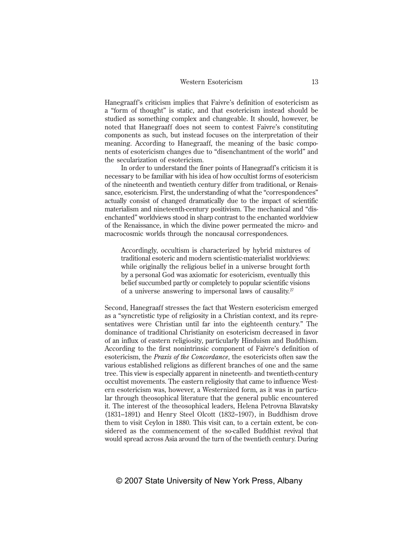Hanegraaff's criticism implies that Faivre's definition of esotericism as a "form of thought" is static, and that esotericism instead should be studied as something complex and changeable. It should, however, be noted that Hanegraaff does not seem to contest Faivre's constituting components as such, but instead focuses on the interpretation of their meaning. According to Hanegraaff, the meaning of the basic components of esotericism changes due to "disenchantment of the world" and the secularization of esotericism.

In order to understand the finer points of Hanegraaff's criticism it is necessary to be familiar with his idea of how occultist forms of esotericism of the nineteenth and twentieth century differ from traditional, or Renaissance, esotericism. First, the understanding of what the "correspondences" actually consist of changed dramatically due to the impact of scientific materialism and nineteenth-century positivism. The mechanical and "disenchanted" worldviews stood in sharp contrast to the enchanted worldview of the Renaissance, in which the divine power permeated the micro- and macrocosmic worlds through the noncausal correspondences.

Accordingly, occultism is characterized by hybrid mixtures of traditional esoteric and modern scientistic-materialist worldviews: while originally the religious belief in a universe brought forth by a personal God was axiomatic for esotericism, eventually this belief succumbed partly or completely to popular scientific visions of a universe answering to impersonal laws of causality.27

Second, Hanegraaff stresses the fact that Western esotericism emerged as a "syncretistic type of religiosity in a Christian context, and its representatives were Christian until far into the eighteenth century." The dominance of traditional Christianity on esotericism decreased in favor of an influx of eastern religiosity, particularly Hinduism and Buddhism. According to the first nonintrinsic component of Faivre's definition of esotericism, the *Praxis of the Concordance,* the esotericists often saw the various established religions as different branches of one and the same tree. This view is especially apparent in nineteenth- and twentieth-century occultist movements. The eastern religiosity that came to influence Western esotericism was, however, a Westernized form, as it was in particular through theosophical literature that the general public encountered it. The interest of the theosophical leaders, Helena Petrovna Blavatsky (1831–1891) and Henry Steel Olcott (1832–1907), in Buddhism drove them to visit Ceylon in 1880. This visit can, to a certain extent, be considered as the commencement of the so-called Buddhist revival that would spread across Asia around the turn of the twentieth century. During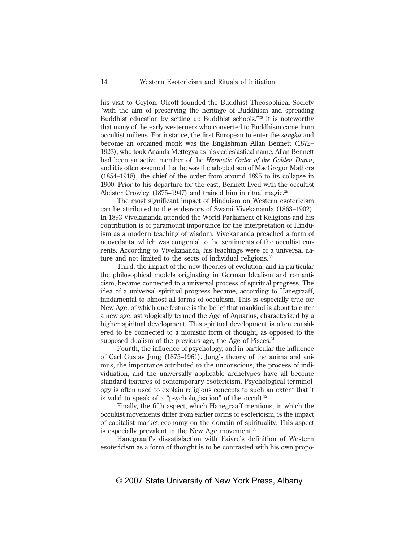his visit to Ceylon, Olcott founded the Buddhist Theosophical Society "with the aim of preserving the heritage of Buddhism and spreading Buddhist education by setting up Buddhist schools."28 It is noteworthy that many of the early westerners who converted to Buddhism came from occultist milieus. For instance, the first European to enter the *sangha* and become an ordained monk was the Englishman Allan Bennett (1872– 1923), who took Ananda Metteyya as his ecclesiastical name. Allan Bennett had been an active member of the *Hermetic Order of the Golden Dawn*, and it is often assumed that he was the adopted son of MacGregor Mathers (1854–1918), the chief of the order from around 1895 to its collapse in 1900. Prior to his departure for the east, Bennett lived with the occultist Aleister Crowley (1875–1947) and trained him in ritual magic.<sup>29</sup>

The most significant impact of Hinduism on Western esotericism can be attributed to the endeavors of Swami Vivekananda (1863–1902). In 1893 Vivekananda attended the World Parliament of Religions and his contribution is of paramount importance for the interpretation of Hinduism as a modern teaching of wisdom. Vivekananda preached a form of neovedanta, which was congenial to the sentiments of the occultist currents. According to Vivekananda, his teachings were of a universal nature and not limited to the sects of individual religions.<sup>30</sup>

Third, the impact of the new theories of evolution, and in particular the philosophical models originating in German Idealism and romanticism, became connected to a universal process of spiritual progress. The idea of a universal spiritual progress became, according to Hanegraaff, fundamental to almost all forms of occultism. This is especially true for New Age, of which one feature is the belief that mankind is about to enter a new age, astrologically termed the Age of Aquarius, characterized by a higher spiritual development. This spiritual development is often considered to be connected to a monistic form of thought, as opposed to the supposed dualism of the previous age, the Age of Pisces.<sup>31</sup>

Fourth, the influence of psychology, and in particular the influence of Carl Gustav Jung (1875–1961). Jung's theory of the anima and animus, the importance attributed to the unconscious, the process of individuation, and the universally applicable archetypes have all become standard features of contemporary esotericism. Psychological terminology is often used to explain religious concepts to such an extent that it is valid to speak of a "psychologisation" of the occult.<sup>32</sup>

Finally, the fifth aspect, which Hanegraaff mentions, in which the occultist movements differ from earlier forms of esotericism, is the impact of capitalist market economy on the domain of spirituality. This aspect is especially prevalent in the New Age movement.<sup>33</sup>

Hanegraaff's dissatisfaction with Faivre's definition of Western esotericism as a form of thought is to be contrasted with his own propo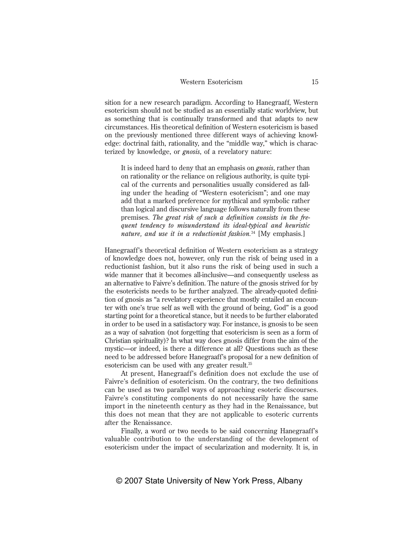sition for a new research paradigm. According to Hanegraaff, Western esotericism should not be studied as an essentially static worldview, but as something that is continually transformed and that adapts to new circumstances. His theoretical definition of Western esotericism is based on the previously mentioned three different ways of achieving knowledge: doctrinal faith, rationality, and the "middle way," which is characterized by knowledge, or *gnosis*, of a revelatory nature:

It is indeed hard to deny that an emphasis on *gnosis*, rather than on rationality or the reliance on religious authority, is quite typical of the currents and personalities usually considered as falling under the heading of "Western esotericism"; and one may add that a marked preference for mythical and symbolic rather than logical and discursive language follows naturally from these premises. *The great risk of such a definition consists in the frequent tendency to misunderstand its ideal-typical and heuristic nature, and use it in a reductionist fashion.*34 [My emphasis.]

Hanegraaff's theoretical definition of Western esotericism as a strategy of knowledge does not, however, only run the risk of being used in a reductionist fashion, but it also runs the risk of being used in such a wide manner that it becomes all-inclusive—and consequently useless as an alternative to Faivre's definition. The nature of the gnosis strived for by the esotericists needs to be further analyzed. The already-quoted definition of gnosis as "a revelatory experience that mostly entailed an encounter with one's true self as well with the ground of being, God" is a good starting point for a theoretical stance, but it needs to be further elaborated in order to be used in a satisfactory way. For instance, is gnosis to be seen as a way of salvation (not forgetting that esotericism is seen as a form of Christian spirituality)? In what way does gnosis differ from the aim of the mystic—or indeed, is there a difference at all? Questions such as these need to be addressed before Hanegraaff's proposal for a new definition of esotericism can be used with any greater result.<sup>35</sup>

At present, Hanegraaff's definition does not exclude the use of Faivre's definition of esotericism. On the contrary, the two definitions can be used as two parallel ways of approaching esoteric discourses. Faivre's constituting components do not necessarily have the same import in the nineteenth century as they had in the Renaissance, but this does not mean that they are not applicable to esoteric currents after the Renaissance.

Finally, a word or two needs to be said concerning Hanegraaff's valuable contribution to the understanding of the development of esotericism under the impact of secularization and modernity. It is, in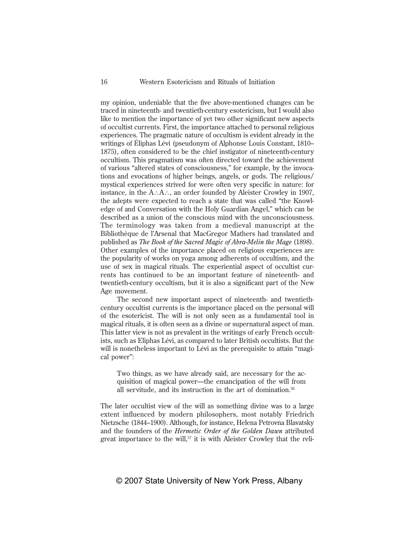my opinion, undeniable that the five above-mentioned changes can be traced in nineteenth- and twentieth-century esotericism, but I would also like to mention the importance of yet two other significant new aspects of occultist currents. First, the importance attached to personal religious experiences. The pragmatic nature of occultism is evident already in the writings of Éliphas Lévi (pseudonym of Alphonse Louis Constant, 1810– 1875), often considered to be the chief instigator of nineteenth-century occultism. This pragmatism was often directed toward the achievement of various "altered states of consciousness," for example, by the invocations and evocations of higher beings, angels, or gods. The religious/ mystical experiences strived for were often very specific in nature: for instance, in the  $A.\dot{A}.\dot{A}$ , an order founded by Aleister Crowley in 1907, the adepts were expected to reach a state that was called "the Knowledge of and Conversation with the Holy Guardian Angel," which can be described as a union of the conscious mind with the unconsciousness. The terminology was taken from a medieval manuscript at the Bibliothèque de l'Arsenal that MacGregor Mathers had translated and published as *The Book of the Sacred Magic of Abra-Melin the Mage* (1898). Other examples of the importance placed on religious experiences are the popularity of works on yoga among adherents of occultism, and the use of sex in magical rituals. The experiential aspect of occultist currents has continued to be an important feature of nineteenth- and twentieth-century occultism, but it is also a significant part of the New Age movement.

The second new important aspect of nineteenth- and twentiethcentury occultist currents is the importance placed on the personal will of the esotericist. The will is not only seen as a fundamental tool in magical rituals, it is often seen as a divine or supernatural aspect of man. This latter view is not as prevalent in the writings of early French occultists, such as Eliphas Lévi, as compared to later British occultists. But the will is nonetheless important to Lévi as the prerequisite to attain "magical power":

Two things, as we have already said, are necessary for the acquisition of magical power—the emancipation of the will from all servitude, and its instruction in the art of domination.36

The later occultist view of the will as something divine was to a large extent influenced by modern philosophers, most notably Friedrich Nietzsche (1844–1900). Although, for instance, Helena Petrovna Blavatsky and the founders of the *Hermetic Order of the Golden Dawn* attributed great importance to the will, $37$  it is with Aleister Crowley that the reli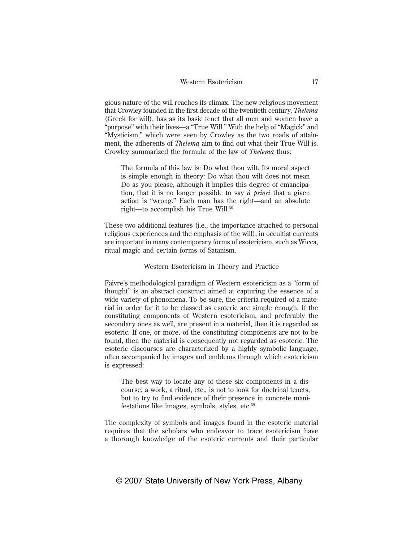gious nature of the will reaches its climax. The new religious movement that Crowley founded in the first decade of the twentieth century, *Thelema* (Greek for will), has as its basic tenet that all men and women have a "purpose" with their lives—a "True Will." With the help of "Magick" and "Mysticism," which were seen by Crowley as the two roads of attainment, the adherents of *Thelema* aim to find out what their True Will is. Crowley summarized the formula of the law of *Thelema* thus:

The formula of this law is: Do what thou wilt. Its moral aspect is simple enough in theory: Do what thou wilt does not mean Do as you please, although it implies this degree of emancipation, that it is no longer possible to say *à priori* that a given action is "wrong." Each man has the right—and an absolute right—to accomplish his True Will.38

These two additional features (i.e., the importance attached to personal religious experiences and the emphasis of the will), in occultist currents are important in many contemporary forms of esotericism, such as Wicca, ritual magic and certain forms of Satanism.

## Western Esotericism in Theory and Practice

Faivre's methodological paradigm of Western esotericism as a "form of thought" is an abstract construct aimed at capturing the essence of a wide variety of phenomena. To be sure, the criteria required of a material in order for it to be classed as esoteric are simple enough. If the constituting components of Western esotericism, and preferably the secondary ones as well, are present in a material, then it is regarded as esoteric. If one, or more, of the constituting components are not to be found, then the material is consequently not regarded as esoteric. The esoteric discourses are characterized by a highly symbolic language, often accompanied by images and emblems through which esotericism is expressed:

The best way to locate any of these six components in a discourse, a work, a ritual, etc., is not to look for doctrinal tenets, but to try to find evidence of their presence in concrete manifestations like images, symbols, styles, etc.39

The complexity of symbols and images found in the esoteric material requires that the scholars who endeavor to trace esotericism have a thorough knowledge of the esoteric currents and their particular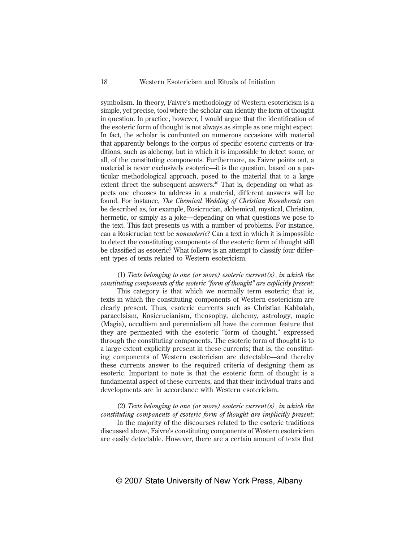symbolism. In theory, Faivre's methodology of Western esotericism is a simple, yet precise, tool where the scholar can identify the form of thought in question. In practice, however, I would argue that the identification of the esoteric form of thought is not always as simple as one might expect. In fact, the scholar is confronted on numerous occasions with material that apparently belongs to the corpus of specific esoteric currents or traditions, such as alchemy, but in which it is impossible to detect some, or all, of the constituting components. Furthermore, as Faivre points out, a material is never exclusively esoteric—it is the question, based on a particular methodological approach, posed to the material that to a large extent direct the subsequent answers. $40$  That is, depending on what aspects one chooses to address in a material, different answers will be found. For instance, *The Chemical Wedding of Christian Rosenkreutz* can be described as, for example, Rosicrucian, alchemical, mystical, Christian, hermetic, or simply as a joke—depending on what questions we pose to the text. This fact presents us with a number of problems. For instance, can a Rosicrucian text be *nonesoteric*? Can a text in which it is impossible to detect the constituting components of the esoteric form of thought still be classified as esoteric? What follows is an attempt to classify four different types of texts related to Western esotericism.

## (1) *Texts belonging to one (or more) esoteric current(s), in which the constituting components of the esoteric "form of thought" are explicitly present*:

This category is that which we normally term esoteric; that is, texts in which the constituting components of Western esotericism are clearly present. Thus, esoteric currents such as Christian Kabbalah, paracelsism, Rosicrucianism, theosophy, alchemy, astrology, magic (Magia), occultism and perennialism all have the common feature that they are permeated with the esoteric "form of thought," expressed through the constituting components. The esoteric form of thought is to a large extent explicitly present in these currents; that is, the constituting components of Western esotericism are detectable—and thereby these currents answer to the required criteria of designing them as esoteric. Important to note is that the esoteric form of thought is a fundamental aspect of these currents, and that their individual traits and developments are in accordance with Western esotericism.

## (2) *Texts belonging to one (or more) esoteric current(s), in which the constituting components of esoteric form of thought are implicitly present*: In the majority of the discourses related to the esoteric traditions discussed above, Faivre's constituting components of Western esotericism are easily detectable. However, there are a certain amount of texts that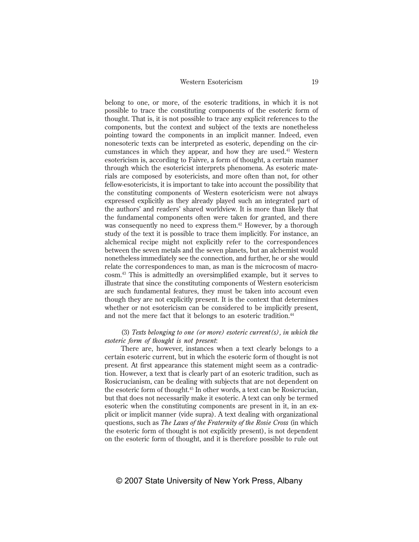belong to one, or more, of the esoteric traditions, in which it is not possible to trace the constituting components of the esoteric form of thought. That is, it is not possible to trace any explicit references to the components, but the context and subject of the texts are nonetheless pointing toward the components in an implicit manner. Indeed, even nonesoteric texts can be interpreted as esoteric, depending on the circumstances in which they appear, and how they are used.41 Western esotericism is, according to Faivre, a form of thought, a certain manner through which the esotericist interprets phenomena. As esoteric materials are composed by esotericists, and more often than not, for other fellow-esotericists, it is important to take into account the possibility that the constituting components of Western esotericism were not always expressed explicitly as they already played such an integrated part of the authors' and readers' shared worldview. It is more than likely that the fundamental components often were taken for granted, and there was consequently no need to express them.<sup>42</sup> However, by a thorough study of the text it is possible to trace them implicitly. For instance, an alchemical recipe might not explicitly refer to the correspondences between the seven metals and the seven planets, but an alchemist would nonetheless immediately see the connection, and further, he or she would relate the correspondences to man, as man is the microcosm of macrocosm.43 This is admittedly an oversimplified example, but it serves to illustrate that since the constituting components of Western esotericism are such fundamental features, they must be taken into account even though they are not explicitly present. It is the context that determines whether or not esotericism can be considered to be implicitly present, and not the mere fact that it belongs to an esoteric tradition.<sup>44</sup>

## (3) *Texts belonging to one (or more) esoteric current(s), in which the esoteric form of thought is not present*:

There are, however, instances when a text clearly belongs to a certain esoteric current, but in which the esoteric form of thought is not present. At first appearance this statement might seem as a contradiction. However, a text that is clearly part of an esoteric tradition, such as Rosicrucianism, can be dealing with subjects that are not dependent on the esoteric form of thought.45 In other words, a text can be Rosicrucian, but that does not necessarily make it esoteric. A text can only be termed esoteric when the constituting components are present in it, in an explicit or implicit manner (vide supra). A text dealing with organizational questions, such as *The Laws of the Fraternity of the Rosie Cross* (in which the esoteric form of thought is not explicitly present), is not dependent on the esoteric form of thought, and it is therefore possible to rule out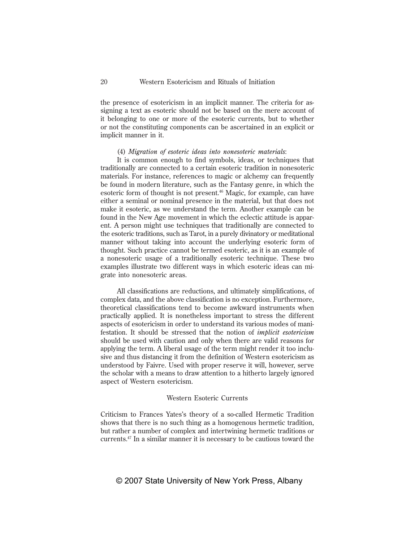the presence of esotericism in an implicit manner. The criteria for assigning a text as esoteric should not be based on the mere account of it belonging to one or more of the esoteric currents, but to whether or not the constituting components can be ascertained in an explicit or implicit manner in it.

#### (4) *Migration of esoteric ideas into nonesoteric materials*:

It is common enough to find symbols, ideas, or techniques that traditionally are connected to a certain esoteric tradition in nonesoteric materials. For instance, references to magic or alchemy can frequently be found in modern literature, such as the Fantasy genre, in which the esoteric form of thought is not present.<sup>46</sup> Magic, for example, can have either a seminal or nominal presence in the material, but that does not make it esoteric, as we understand the term. Another example can be found in the New Age movement in which the eclectic attitude is apparent. A person might use techniques that traditionally are connected to the esoteric traditions, such as Tarot, in a purely divinatory or meditational manner without taking into account the underlying esoteric form of thought. Such practice cannot be termed esoteric, as it is an example of a nonesoteric usage of a traditionally esoteric technique. These two examples illustrate two different ways in which esoteric ideas can migrate into nonesoteric areas.

All classifications are reductions, and ultimately simplifications, of complex data, and the above classification is no exception. Furthermore, theoretical classifications tend to become awkward instruments when practically applied. It is nonetheless important to stress the different aspects of esotericism in order to understand its various modes of manifestation. It should be stressed that the notion of *implicit esotericism* should be used with caution and only when there are valid reasons for applying the term. A liberal usage of the term might render it too inclusive and thus distancing it from the definition of Western esotericism as understood by Faivre. Used with proper reserve it will, however, serve the scholar with a means to draw attention to a hitherto largely ignored aspect of Western esotericism.

## Western Esoteric Currents

Criticism to Frances Yates's theory of a so-called Hermetic Tradition shows that there is no such thing as a homogenous hermetic tradition, but rather a number of complex and intertwining hermetic traditions or currents.47 In a similar manner it is necessary to be cautious toward the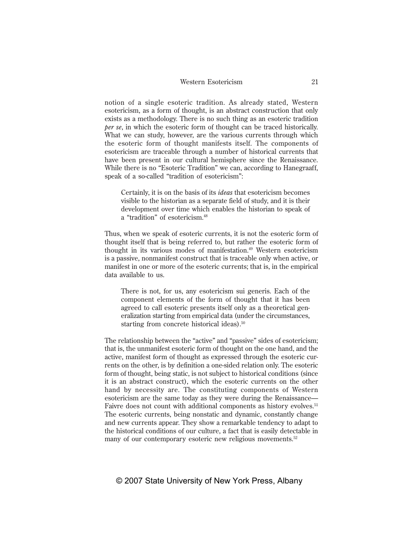notion of a single esoteric tradition. As already stated, Western esotericism, as a form of thought, is an abstract construction that only exists as a methodology. There is no such thing as an esoteric tradition *per se*, in which the esoteric form of thought can be traced historically. What we can study, however, are the various currents through which the esoteric form of thought manifests itself. The components of esotericism are traceable through a number of historical currents that have been present in our cultural hemisphere since the Renaissance. While there is no "Esoteric Tradition" we can, according to Hanegraaff, speak of a so-called "tradition of esotericism":

Certainly, it is on the basis of its *ideas* that esotericism becomes visible to the historian as a separate field of study, and it is their development over time which enables the historian to speak of a "tradition" of esotericism.48

Thus, when we speak of esoteric currents, it is not the esoteric form of thought itself that is being referred to, but rather the esoteric form of thought in its various modes of manifestation.49 Western esotericism is a passive, nonmanifest construct that is traceable only when active, or manifest in one or more of the esoteric currents; that is, in the empirical data available to us.

There is not, for us, any esotericism sui generis. Each of the component elements of the form of thought that it has been agreed to call esoteric presents itself only as a theoretical generalization starting from empirical data (under the circumstances, starting from concrete historical ideas).<sup>50</sup>

The relationship between the "active" and "passive" sides of esotericism; that is, the unmanifest esoteric form of thought on the one hand, and the active, manifest form of thought as expressed through the esoteric currents on the other, is by definition a one-sided relation only. The esoteric form of thought, being static, is not subject to historical conditions (since it is an abstract construct), which the esoteric currents on the other hand by necessity are. The constituting components of Western esotericism are the same today as they were during the Renaissance— Faivre does not count with additional components as history evolves.<sup>51</sup> The esoteric currents, being nonstatic and dynamic, constantly change and new currents appear. They show a remarkable tendency to adapt to the historical conditions of our culture, a fact that is easily detectable in many of our contemporary esoteric new religious movements.<sup>52</sup>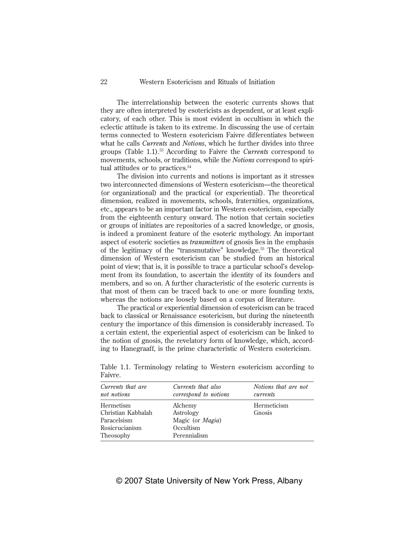The interrelationship between the esoteric currents shows that they are often interpreted by esotericists as dependent, or at least explicatory, of each other. This is most evident in occultism in which the eclectic attitude is taken to its extreme. In discussing the use of certain terms connected to Western esotericism Faivre differentiates between what he calls *Currents* and *Notions*, which he further divides into three groups (Table 1.1).53 According to Faivre the *Currents* correspond to movements, schools, or traditions, while the *Notions* correspond to spiritual attitudes or to practices.<sup>54</sup>

The division into currents and notions is important as it stresses two interconnected dimensions of Western esotericism—the theoretical (or organizational) and the practical (or experiential). The theoretical dimension, realized in movements, schools, fraternities, organizations, etc., appears to be an important factor in Western esotericism, especially from the eighteenth century onward. The notion that certain societies or groups of initiates are repositories of a sacred knowledge, or gnosis, is indeed a prominent feature of the esoteric mythology. An important aspect of esoteric societies as *transmitters* of gnosis lies in the emphasis of the legitimacy of the "transmutative" knowledge.<sup>55</sup> The theoretical dimension of Western esotericism can be studied from an historical point of view; that is, it is possible to trace a particular school's development from its foundation, to ascertain the identity of its founders and members, and so on. A further characteristic of the esoteric currents is that most of them can be traced back to one or more founding texts, whereas the notions are loosely based on a corpus of literature.

The practical or experiential dimension of esotericism can be traced back to classical or Renaissance esotericism, but during the nineteenth century the importance of this dimension is considerably increased. To a certain extent, the experiential aspect of esotericism can be linked to the notion of gnosis, the revelatory form of knowledge, which, according to Hanegraaff, is the prime characteristic of Western esotericism.

| Currents that are<br>not notions | Currents that also<br><i>correspond to notions</i> | Notions that are not<br>currents |
|----------------------------------|----------------------------------------------------|----------------------------------|
| Hermetism                        | Alchemy                                            | Hermeticism                      |
| Christian Kabbalah               | Astrology                                          | Gnosis                           |
| Paracelsism                      | Magic (or <i>Magia</i> )                           |                                  |
| Rosicrucianism                   | Occultism                                          |                                  |
| Theosophy                        | Perennialism                                       |                                  |

Table 1.1. Terminology relating to Western esotericism according to Faivre.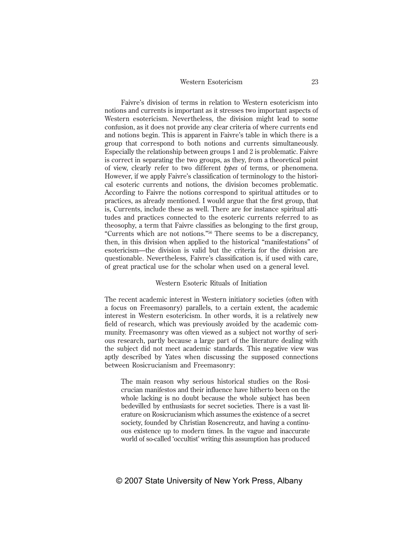Faivre's division of terms in relation to Western esotericism into notions and currents is important as it stresses two important aspects of Western esotericism. Nevertheless, the division might lead to some confusion, as it does not provide any clear criteria of where currents end and notions begin. This is apparent in Faivre's table in which there is a group that correspond to both notions and currents simultaneously. Especially the relationship between groups 1 and 2 is problematic. Faivre is correct in separating the two groups, as they, from a theoretical point of view, clearly refer to two different *types* of terms, or phenomena. However, if we apply Faivre's classification of terminology to the historical esoteric currents and notions, the division becomes problematic. According to Faivre the notions correspond to spiritual attitudes or to practices, as already mentioned. I would argue that the first group, that is, Currents, include these as well. There are for instance spiritual attitudes and practices connected to the esoteric currents referred to as theosophy, a term that Faivre classifies as belonging to the first group, "Currents which are not notions."56 There seems to be a discrepancy, then, in this division when applied to the historical "manifestations" of esotericism—the division is valid but the criteria for the division are questionable. Nevertheless, Faivre's classification is, if used with care, of great practical use for the scholar when used on a general level.

### Western Esoteric Rituals of Initiation

The recent academic interest in Western initiatory societies (often with a focus on Freemasonry) parallels, to a certain extent, the academic interest in Western esotericism. In other words, it is a relatively new field of research, which was previously avoided by the academic community. Freemasonry was often viewed as a subject not worthy of serious research, partly because a large part of the literature dealing with the subject did not meet academic standards. This negative view was aptly described by Yates when discussing the supposed connections between Rosicrucianism and Freemasonry:

The main reason why serious historical studies on the Rosicrucian manifestos and their influence have hitherto been on the whole lacking is no doubt because the whole subject has been bedevilled by enthusiasts for secret societies. There is a vast literature on Rosicrucianism which assumes the existence of a secret society, founded by Christian Rosencreutz, and having a continuous existence up to modern times. In the vague and inaccurate world of so-called 'occultist' writing this assumption has produced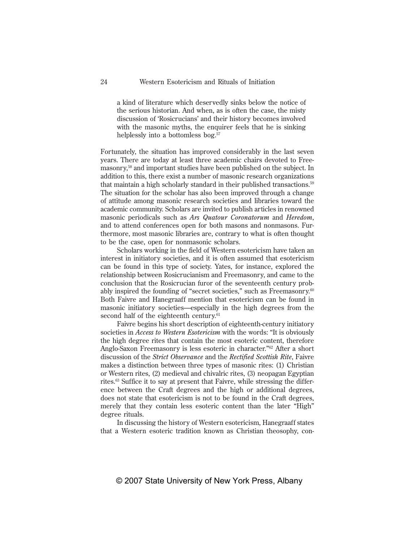a kind of literature which deservedly sinks below the notice of the serious historian. And when, as is often the case, the misty discussion of 'Rosicrucians' and their history becomes involved with the masonic myths, the enquirer feels that he is sinking helplessly into a bottomless bog.<sup>57</sup>

Fortunately, the situation has improved considerably in the last seven years. There are today at least three academic chairs devoted to Freemasonry,58 and important studies have been published on the subject. In addition to this, there exist a number of masonic research organizations that maintain a high scholarly standard in their published transactions.<sup>59</sup> The situation for the scholar has also been improved through a change of attitude among masonic research societies and libraries toward the academic community. Scholars are invited to publish articles in renowned masonic periodicals such as *Ars Quatour Coronatorum* and *Heredom*, and to attend conferences open for both masons and nonmasons. Furthermore, most masonic libraries are, contrary to what is often thought to be the case, open for nonmasonic scholars.

Scholars working in the field of Western esotericism have taken an interest in initiatory societies, and it is often assumed that esotericism can be found in this type of society. Yates, for instance, explored the relationship between Rosicrucianism and Freemasonry, and came to the conclusion that the Rosicrucian furor of the seventeenth century probably inspired the founding of "secret societies," such as Freemasonry.<sup>60</sup> Both Faivre and Hanegraaff mention that esotericism can be found in masonic initiatory societies—especially in the high degrees from the second half of the eighteenth century.<sup>61</sup>

Faivre begins his short description of eighteenth-century initiatory societies in *Access to Western Esotericism* with the words: "It is obviously the high degree rites that contain the most esoteric content, therefore Anglo-Saxon Freemasonry is less esoteric in character."62 After a short discussion of the *Strict Observance* and the *Rectified Scottish Rite*, Faivre makes a distinction between three types of masonic rites: (1) Christian or Western rites, (2) medieval and chivalric rites, (3) neopagan Egyptian rites.63 Suffice it to say at present that Faivre, while stressing the difference between the Craft degrees and the high or additional degrees, does not state that esotericism is not to be found in the Craft degrees, merely that they contain less esoteric content than the later "High" degree rituals.

In discussing the history of Western esotericism, Hanegraaff states that a Western esoteric tradition known as Christian theosophy, con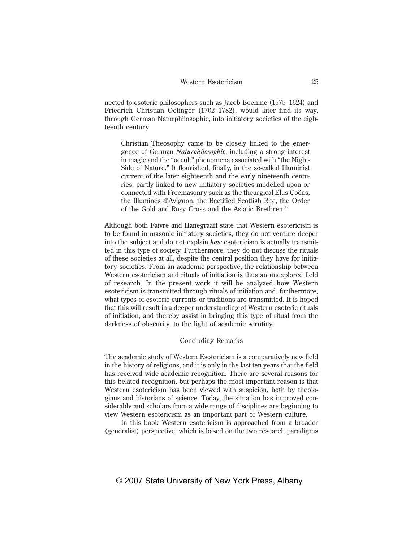nected to esoteric philosophers such as Jacob Boehme (1575–1624) and Friedrich Christian Oetinger (1702–1782), would later find its way, through German Naturphilosophie, into initiatory societies of the eighteenth century:

Christian Theosophy came to be closely linked to the emergence of German *Naturphilosophie*, including a strong interest in magic and the "occult" phenomena associated with "the Night-Side of Nature." It flourished, finally, in the so-called Illuminist current of the later eighteenth and the early nineteenth centuries, partly linked to new initiatory societies modelled upon or connected with Freemasonry such as the theurgical Elus Coëns, the Illuminés d'Avignon, the Rectified Scottish Rite, the Order of the Gold and Rosy Cross and the Asiatic Brethren.<sup>64</sup>

Although both Faivre and Hanegraaff state that Western esotericism is to be found in masonic initiatory societies, they do not venture deeper into the subject and do not explain *how* esotericism is actually transmitted in this type of society. Furthermore, they do not discuss the rituals of these societies at all, despite the central position they have for initiatory societies. From an academic perspective, the relationship between Western esotericism and rituals of initiation is thus an unexplored field of research. In the present work it will be analyzed how Western esotericism is transmitted through rituals of initiation and, furthermore, what types of esoteric currents or traditions are transmitted. It is hoped that this will result in a deeper understanding of Western esoteric rituals of initiation, and thereby assist in bringing this type of ritual from the darkness of obscurity, to the light of academic scrutiny.

## Concluding Remarks

The academic study of Western Esotericism is a comparatively new field in the history of religions, and it is only in the last ten years that the field has received wide academic recognition. There are several reasons for this belated recognition, but perhaps the most important reason is that Western esotericism has been viewed with suspicion, both by theologians and historians of science. Today, the situation has improved considerably and scholars from a wide range of disciplines are beginning to view Western esotericism as an important part of Western culture.

In this book Western esotericism is approached from a broader (generalist) perspective, which is based on the two research paradigms